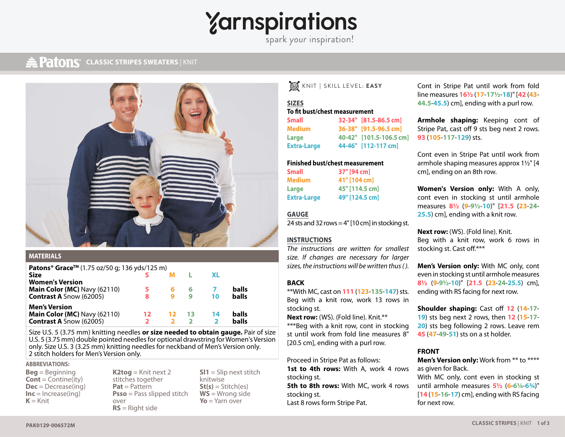# *<u>Yarnspirations</u>*

spark your inspiration!

### **CLASSIC STRIPES SWEATERS** | KNIT **CLASSIC STRIPES** | KNIT



#### **MATERIALS**

| <b>Patons<sup>®</sup> Grace<sup>™</sup> (1.75 oz/50 g; 136 yds/125 m)</b> |     |    |    |           |              |
|---------------------------------------------------------------------------|-----|----|----|-----------|--------------|
| <b>Size</b>                                                               |     |    |    | <b>XL</b> |              |
| <b>Women's Version</b>                                                    |     |    |    |           |              |
| <b>Main Color (MC)</b> Navy (62110)                                       |     |    | 6  |           | balls        |
| <b>Contrast A Snow (62005)</b>                                            | 8   |    | q  | 10        | <b>balls</b> |
| <b>Men's Version</b>                                                      |     |    |    |           |              |
| Main Color (MC) Navy (62110)                                              | 12. | 12 | 13 | 14        | balls        |
| <b>Contrast A Snow (62005)</b>                                            |     |    |    |           | balls        |

Size U.S. 5 (3.75 mm) knitting needles **or size needed to obtain gauge.** Pair of size U.S. 5 (3.75 mm) double pointed needles for optional drawstring for Women's Version only. Size U.S. 3 (3.25 mm) knitting needles for neckband of Men's Version only. 2 stitch holders for Men's Version only.

#### **ABBREVIATIONS:**

- **Beg** = Beginning **Cont** = Contine(ity) **Dec** = Decrease(ing) **Inc** = Increase(ing)  $K =$ Knit
- **K2tog** = Knit next 2 stitches together **Pat** = Pattern **Psso** = Pass slipped stitch over **RS** = Right side

**Sl1** = Slip next stitch knitwise **St(s)** = Stitch(es) **WS** = Wrong side **Yo** = Yarn over

 $\mathbb{Z}$ KNIT **|** SKILL LEVEL: **EASY**

#### **SIZES To fit bust/chest measurement**

**Small 32-34" [81.5-86.5 cm] Medium 36-38" [91.5-96.5 cm] Large 40-42" [101.5-106.5 cm] Extra-Large 44-46" [112-117 cm]**

#### **Finished bust/chest measurement**

| Small       | 37" [94 cm]    |  |  |  |  |
|-------------|----------------|--|--|--|--|
| Medium      | 41" [104 cm]   |  |  |  |  |
| Large       | 45" [114.5 cm] |  |  |  |  |
| Extra-Large | 49" [124.5 cm] |  |  |  |  |

#### **GAUGE**

24 sts and 32 rows  $=$  4" [10 cm] in stocking st.

#### **INSTRUCTIONS**

*The instructions are written for smallest size. If changes are necessary for larger sizes, the instructions will be written thus ( ).*

#### **BACK**

\*\*With MC, cast on **111** (**123**-**135**-**147**) sts. Beg with a knit row, work 13 rows in stocking st.

**Next row:** (WS). (Fold line). Knit.\*\* \*\*\*Beg with a knit row, cont in stocking st until work from fold line measures 8" [20.5 cm], ending with a purl row.

Proceed in Stripe Pat as follows:

1st to 4th rows: With A, work 4 rows stocking st. **5th to 8th rows:** With MC, work 4 rows stocking st. Last 8 rows form Stripe Pat.

Cont in Stripe Pat until work from fold line measures **16½** (**17**-**17½**-**18**)" [**42** (**43**- **44.5**-**45.5**) cm], ending with a purl row.

**Armhole shaping:** Keeping cont of Stripe Pat, cast off 9 sts beg next 2 rows. **93** (**105**-**117**-**129**) sts.

Cont even in Stripe Pat until work from armhole shaping measures approx 1½" [4 cm], ending on an 8th row.

**Women's Version only:** With A only, cont even in stocking st until armhole measures **8½** (**9**-**9½**-**10**)" [**21.5** (**23**-**24**- **25.5**) cm], ending with a knit row.

**Next row:** (WS). (Fold line). Knit. Beg with a knit row, work 6 rows in stocking st. Cast off.\*\*\*

**Men's Version only:** With MC only, cont even in stocking st until armhole measures **8½** (**9**-**9½**-**10**)" [**21.5** (**23**-**24**-**25.5**) cm], ending with RS facing for next row.

**Shoulder shaping:** Cast off **12** (**14**-**17**- ) sts beg next 2 rows, then **12** (**15**-**17**- ) sts beg following 2 rows. Leave rem (**47**-**49**-**51**) sts on a st holder.

#### **FRONT**

**Men's Version only:** Work from \*\* to \*\*\*\* as given for Back.

With MC only, cont even in stocking st until armhole measures **5½** (**6**-**6¼**-**6¾**)" [**14** (**15**-**16**-**17**) cm], ending with RS facing for next row.

**PAK0129-006572M**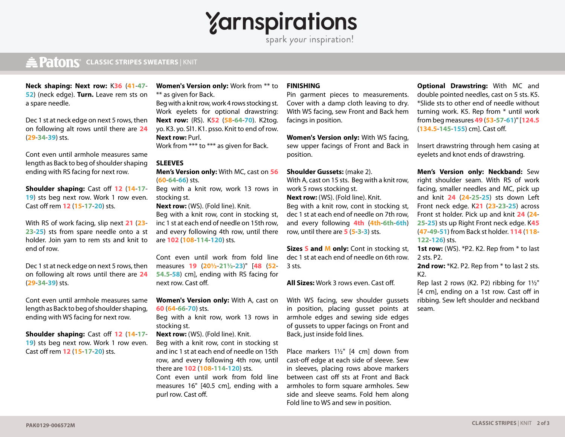# $\gamma$ arnspirations

## **CLASSIC STRIPES SWEATERS** | KNIT **CLASSIC STRIPES** | KNIT

**Neck shaping: Next row:** K**36** (**41**-**47**- **52**) (neck edge). **Turn.** Leave rem sts on a spare needle.

Dec 1 st at neck edge on next 5 rows, then on following alt rows until there are **24** (**29**-**34**-**39**) sts.

Cont even until armhole measures same length as Back to beg of shoulder shaping ending with RS facing for next row.

**Shoulder shaping:** Cast off **12** (**14**-**17**- **19**) sts beg next row. Work 1 row even. Cast off rem **12** (**15**-**17**-**20**) sts.

With RS of work facing, slip next **21** (**23**- **23**-**25**) sts from spare needle onto a st holder. Join yarn to rem sts and knit to end of row.

Dec 1 st at neck edge on next 5 rows, then on following alt rows until there are **24** (**29**-**34**-**39**) sts.

Cont even until armhole measures same length as Back to beg of shoulder shaping, ending with WS facing for next row.

**Shoulder shaping:** Cast off **12** (**14**-**17**- 19) sts beg next row. Work 1 row even. Cast off rem **12** (**15**-**17**-**20**) sts.

**Women's Version only:** Work from \*\* to \*\* as given for Back.

Beg with a knit row, work 4 rows stocking st. Work eyelets for optional drawstring: **Next row:** (RS). K**52** (**58**-**64**-**70**). K2tog. yo. K3. yo. Sl1. K1. psso. Knit to end of row. **Next row:** Purl.

Work from \*\*\* to \*\*\* as given for Back.

#### **SLEEVES**

**Men's Version only:** With MC, cast on **56** (**60**-**64**-**66**) sts.

Beg with a knit row, work 13 rows in stocking st.

**Next row:** (WS). (Fold line). Knit.

Beg with a knit row, cont in stocking st, inc 1 st at each end of needle on 15th row, and every following 4th row, until there are **102** (**108**-**114**-**120**) sts.

Cont even until work from fold line measures **19** (**20½**-**21½**-**23**)" [**48** (**52**- **54.5**-**58**) cm], ending with RS facing for next row. Cast off.

**Women's Version only:** With A, cast on **60** (**64**-**66**-**70**) sts.

Beg with a knit row, work 13 rows in stocking st.

**Next row:** (WS). (Fold line). Knit.

Beg with a knit row, cont in stocking st and inc 1 st at each end of needle on 15th row, and every following 4th row, until there are **102** (**108**-**114**-**120**) sts. Cont even until work from fold line

measures 16" [40.5 cm], ending with a purl row. Cast off.

#### **FINISHING**

Pin garment pieces to measurements. Cover with a damp cloth leaving to dry. With WS facing, sew Front and Back hem facings in position.

**Women's Version only:** With WS facing, sew upper facings of Front and Back in position.

#### **Shoulder Gussets:** (make 2).

With A, cast on 15 sts. Beg with a knit row, work 5 rows stocking st.

**Next row:** (WS). (Fold line). Knit. Beg with a knit row, cont in stocking st, dec 1 st at each end of needle on 7th row, and every following **4th** (**4th**-**6th**-**6th**) row, until there are **5** (**5**-**3**-**3**) sts.

**Sizes S and M only:** Cont in stocking st, dec 1 st at each end of needle on 6th row. 3 sts.

**All Sizes:** Work 3 rows even. Cast off.

With WS facing, sew shoulder gussets in position, placing gusset points at armhole edges and sewing side edges of gussets to upper facings on Front and Back, just inside fold lines.

Place markers 1½" [4 cm] down from cast-off edge at each side of sleeve. Sew in sleeves, placing rows above markers between cast off sts at Front and Back armholes to form square armholes. Sew side and sleeve seams. Fold hem along Fold line to WS and sew in position.

**Optional Drawstring:** With MC and double pointed needles, cast on 5 sts. K5. \*Slide sts to other end of needle without turning work. K5. Rep from \* until work from beg measures **49** (**53**-**57**-**61**)" [**124.5** (**134.5**-**145**-**155**) cm]. Cast off.

Insert drawstring through hem casing at eyelets and knot ends of drawstring.

**Men's Version only: Neckband:** Sew right shoulder seam. With RS of work facing, smaller needles and MC, pick up and knit **24** (**24**-**25**-**25**) sts down Left Front neck edge. K**21** (**23**-**23**-**25**) across Front st holder. Pick up and knit **24** (**24**- **25**-**25**) sts up Right Front neck edge. K**45** (**47**-**49**-**51**) from Back st holder. **114** (**118**- **122**-**126**) sts.

**1st row:** (WS). \*P2. K2. Rep from \* to last 2 sts. P2.

**2nd row:** \*K2. P2. Rep from \* to last 2 sts. K2.

Rep last 2 rows (K2. P2) ribbing for 1½" [4 cm], ending on a 1st row. Cast off in ribbing. Sew left shoulder and neckband seam.